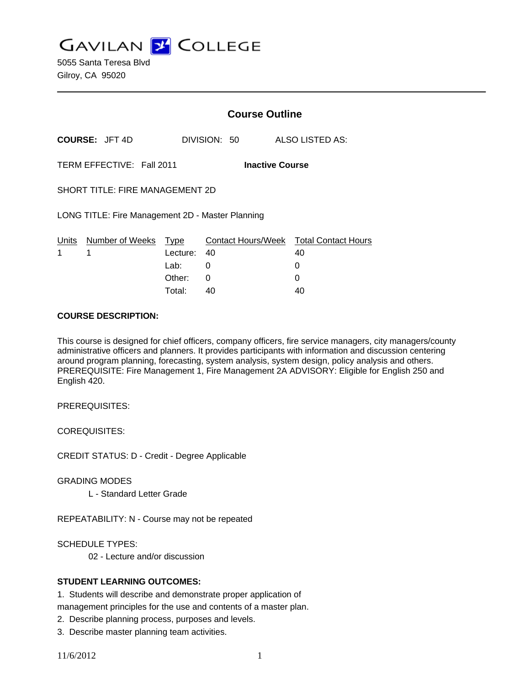**GAVILAN J COLLEGE** 

5055 Santa Teresa Blvd Gilroy, CA 95020

|                                                     |                                 |             | <b>Course Outline</b> |                                              |  |
|-----------------------------------------------------|---------------------------------|-------------|-----------------------|----------------------------------------------|--|
|                                                     | <b>COURSE: JFT 4D</b>           |             | DIVISION: 50          | ALSO LISTED AS:                              |  |
| TERM EFFECTIVE: Fall 2011<br><b>Inactive Course</b> |                                 |             |                       |                                              |  |
| <b>SHORT TITLE: FIRE MANAGEMENT 2D</b>              |                                 |             |                       |                                              |  |
| LONG TITLE: Fire Management 2D - Master Planning    |                                 |             |                       |                                              |  |
| 1                                                   | Units Number of Weeks Type<br>1 | Lecture: 40 |                       | Contact Hours/Week Total Contact Hours<br>40 |  |
|                                                     |                                 | Lab: Lab    | 0                     | 0                                            |  |
|                                                     |                                 | Other:      | 0                     | 0                                            |  |
|                                                     |                                 | Total:      | 40                    | 40                                           |  |

#### **COURSE DESCRIPTION:**

This course is designed for chief officers, company officers, fire service managers, city managers/county administrative officers and planners. It provides participants with information and discussion centering around program planning, forecasting, system analysis, system design, policy analysis and others. PREREQUISITE: Fire Management 1, Fire Management 2A ADVISORY: Eligible for English 250 and English 420.

PREREQUISITES:

COREQUISITES:

CREDIT STATUS: D - Credit - Degree Applicable

GRADING MODES

L - Standard Letter Grade

REPEATABILITY: N - Course may not be repeated

SCHEDULE TYPES:

02 - Lecture and/or discussion

#### **STUDENT LEARNING OUTCOMES:**

1. Students will describe and demonstrate proper application of management principles for the use and contents of a master plan.

2. Describe planning process, purposes and levels.

3. Describe master planning team activities.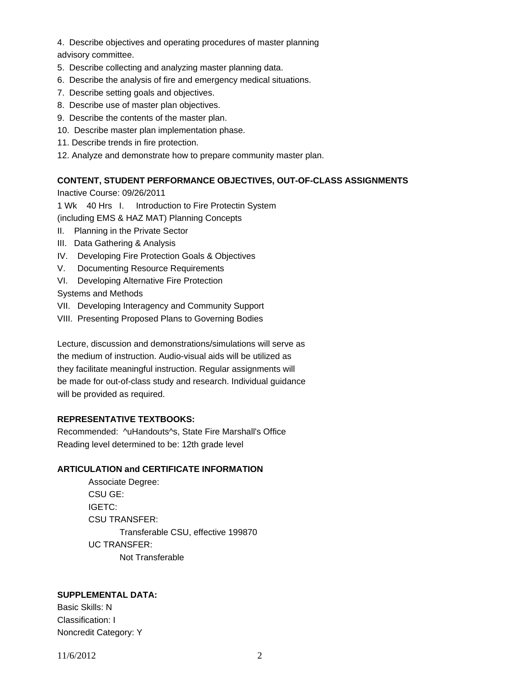- 4. Describe objectives and operating procedures of master planning
- advisory committee.
- 5. Describe collecting and analyzing master planning data.
- 6. Describe the analysis of fire and emergency medical situations.
- 7. Describe setting goals and objectives.
- 8. Describe use of master plan objectives.
- 9. Describe the contents of the master plan.
- 10. Describe master plan implementation phase.
- 11. Describe trends in fire protection.
- 12. Analyze and demonstrate how to prepare community master plan.

# **CONTENT, STUDENT PERFORMANCE OBJECTIVES, OUT-OF-CLASS ASSIGNMENTS**

Inactive Course: 09/26/2011

1 Wk 40 Hrs I. Introduction to Fire Protectin System

(including EMS & HAZ MAT) Planning Concepts

- II. Planning in the Private Sector
- III. Data Gathering & Analysis
- IV. Developing Fire Protection Goals & Objectives
- V. Documenting Resource Requirements
- VI. Developing Alternative Fire Protection

Systems and Methods

- VII. Developing Interagency and Community Support
- VIII. Presenting Proposed Plans to Governing Bodies

Lecture, discussion and demonstrations/simulations will serve as the medium of instruction. Audio-visual aids will be utilized as they facilitate meaningful instruction. Regular assignments will be made for out-of-class study and research. Individual guidance will be provided as required.

# **REPRESENTATIVE TEXTBOOKS:**

Recommended: ^uHandouts^s, State Fire Marshall's Office Reading level determined to be: 12th grade level

# **ARTICULATION and CERTIFICATE INFORMATION**

 Associate Degree: CSU GE: IGETC: CSU TRANSFER: Transferable CSU, effective 199870 UC TRANSFER: Not Transferable

# **SUPPLEMENTAL DATA:**

Basic Skills: N Classification: I Noncredit Category: Y